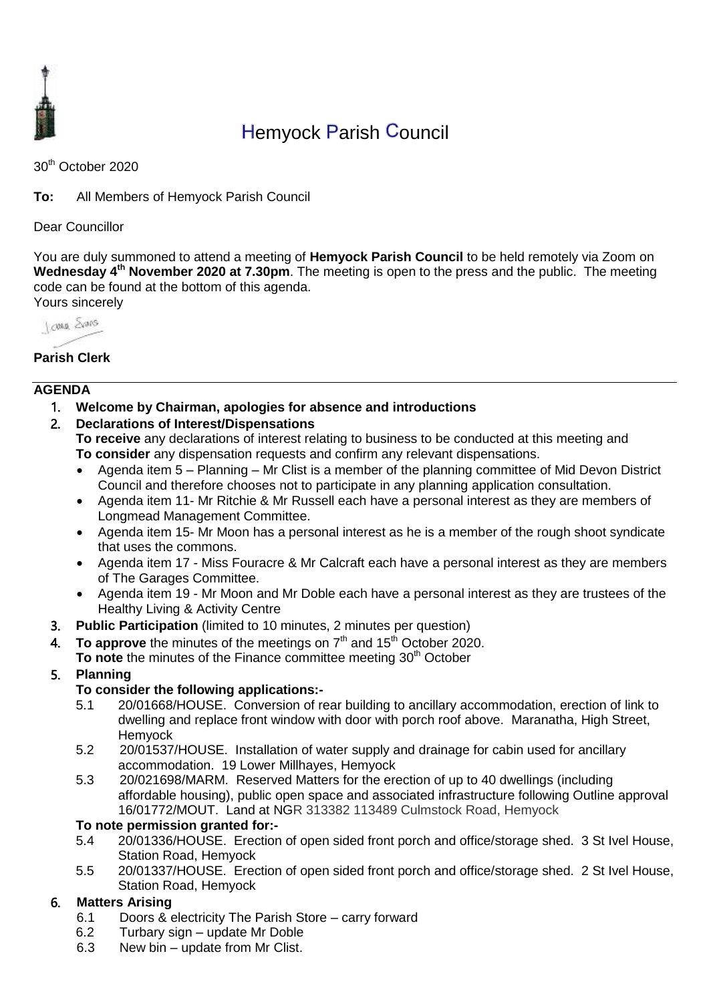

# Hemyock Parish Council

30th October 2020

**To:** All Members of Hemyock Parish Council

Dear Councillor

You are duly summoned to attend a meeting of **Hemyock Parish Council** to be held remotely via Zoom on Wednesday 4<sup>th</sup> November 2020 at 7.30pm. The meeting is open to the press and the public. The meeting code can be found at the bottom of this agenda. Yours sincerely



### **Parish Clerk**

#### **AGENDA**

- 1. **Welcome by Chairman, apologies for absence and introductions**
- 2. **Declarations of Interest/Dispensations**

**To receive** any declarations of interest relating to business to be conducted at this meeting and **To consider** any dispensation requests and confirm any relevant dispensations.

- Agenda item 5 Planning Mr Clist is a member of the planning committee of Mid Devon District Council and therefore chooses not to participate in any planning application consultation.
- Agenda item 11- Mr Ritchie & Mr Russell each have a personal interest as they are members of Longmead Management Committee.
- Agenda item 15- Mr Moon has a personal interest as he is a member of the rough shoot syndicate that uses the commons.
- Agenda item 17 Miss Fouracre & Mr Calcraft each have a personal interest as they are members of The Garages Committee.
- Agenda item 19 Mr Moon and Mr Doble each have a personal interest as they are trustees of the Healthy Living & Activity Centre
- 3. **Public Participation** (limited to 10 minutes, 2 minutes per question)
- 4. To approve the minutes of the meetings on 7<sup>th</sup> and 15<sup>th</sup> October 2020. To note the minutes of the Finance committee meeting 30<sup>th</sup> October
- 5. **Planning**

#### **To consider the following applications:-**

- 5.1 [20/01668/HOUSE.](https://planning.middevon.gov.uk/online-applications/applicationDetails.do?activeTab=documents&keyVal=QI38OXKS05K00) Conversion of rear building to ancillary accommodation, erection of link to dwelling and replace front window with door with porch roof above. Maranatha, High Street, Hemyock
- 5.2 [20/01537/HOUSE.](https://planning.middevon.gov.uk/online-applications/applicationDetails.do?activeTab=documents&keyVal=QH5J22KS07T00) Installation of water supply and drainage for cabin used for ancillary accommodation. 19 Lower Millhayes, Hemyock
- 5.3 [20/021698/MARM. R](https://planning.middevon.gov.uk/online-applications/applicationDetails.do?activeTab=documents&keyVal=QI8PK0KS07T00)eserved Matters for the erection of up to 40 dwellings (including affordable housing), public open space and associated infrastructure following Outline approval 16/01772/MOUT. Land at NGR 313382 113489 Culmstock Road, Hemyock

#### **To note permission granted for:-**

- 5.4 20/01336/HOUSE. Erection of open sided front porch and office/storage shed. 3 St Ivel House, Station Road, Hemyock
- 5.5 20/01337/HOUSE. Erection of open sided front porch and office/storage shed. 2 St Ivel House, Station Road, Hemyock

#### 6. **Matters Arising**

- 6.1 Doors & electricity The Parish Store carry forward
- 6.2 Turbary sign update Mr Doble
- 6.3 New bin update from Mr Clist.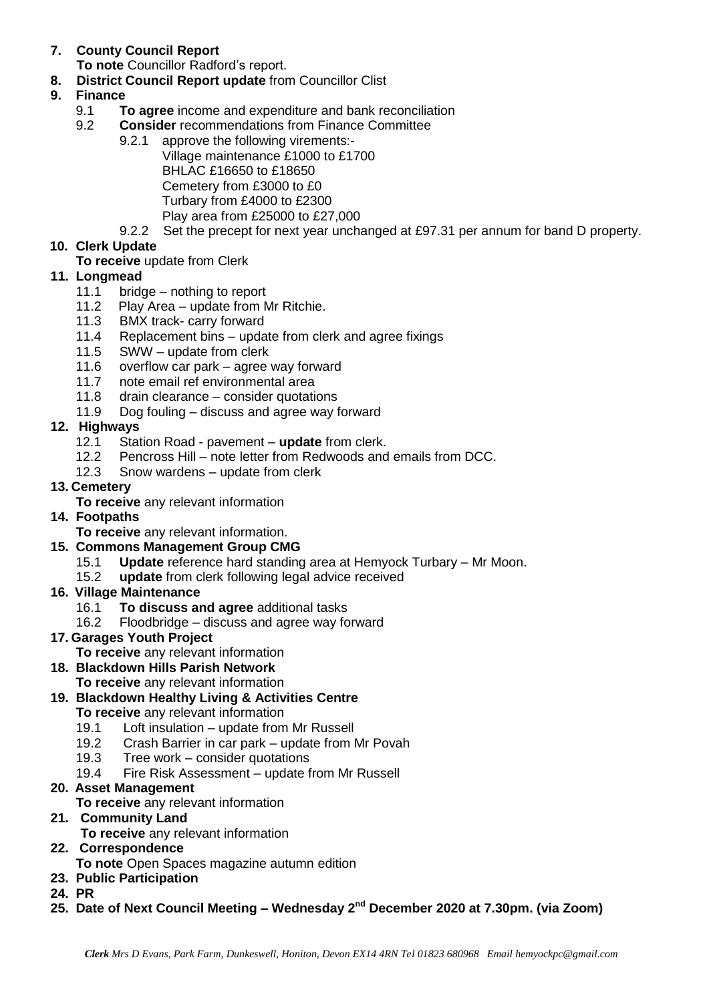## **7. County Council Report**

**To note** Councillor Radford's report.

**8. District Council Report update** from Councillor Clist

## **9. Finance**

- 9.1 **To agree** income and expenditure and bank reconciliation
- 9.2 **Consider** recommendations from Finance Committee
	- 9.2.1 approve the following virements:- Village maintenance £1000 to £1700 BHLAC £16650 to £18650 Cemetery from £3000 to £0 Turbary from £4000 to £2300 Play area from £25000 to £27,000
	- 9.2.2 Set the precept for next year unchanged at £97.31 per annum for band D property.

## **10. Clerk Update**

### **To receive** update from Clerk

### **11. Longmead**

- 11.1 bridge nothing to report
- 11.2 Play Area update from Mr Ritchie.
- 11.3 BMX track- carry forward
- 11.4 Replacement bins update from clerk and agree fixings
- 11.5 SWW update from clerk
- 11.6 overflow car park agree way forward
- 11.7 note email ref environmental area
- 11.8 drain clearance consider quotations
- 11.9 Dog fouling discuss and agree way forward
- **12. Highways**
	- 12.1 Station Road pavement **update** from clerk.
	- 12.2 Pencross Hill note letter from Redwoods and emails from DCC.
	- 12.3 Snow wardens update from clerk

### **13. Cemetery**

**To receive** any relevant information

### **14. Footpaths**

**To receive** any relevant information.

### **15. Commons Management Group CMG**

- 15.1 **Update** reference hard standing area at Hemyock Turbary Mr Moon.
- 15.2 **update** from clerk following legal advice received
- **16. Village Maintenance**
	- 16.1 **To discuss and agree** additional tasks
	- 16.2 Floodbridge discuss and agree way forward

### **17. Garages Youth Project**

- **To receive** any relevant information
- **18. Blackdown Hills Parish Network**
	- **To receive** any relevant information
- **19. Blackdown Healthy Living & Activities Centre**
	- **To receive** any relevant information
	- 19.1 Loft insulation update from Mr Russell
	- 19.2 Crash Barrier in car park update from Mr Povah
	- 19.3 Tree work consider quotations
	- 19.4 Fire Risk Assessment update from Mr Russell

### **20. Asset Management**

**To receive** any relevant information

### **21. Community Land**

**To receive** any relevant information

### **22. Correspondence**

**To note** Open Spaces magazine autumn edition

- **23. Public Participation**
- **24. PR**

#### **25. Date of Next Council Meeting – Wednesday 2 nd December 2020 at 7.30pm. (via Zoom)**